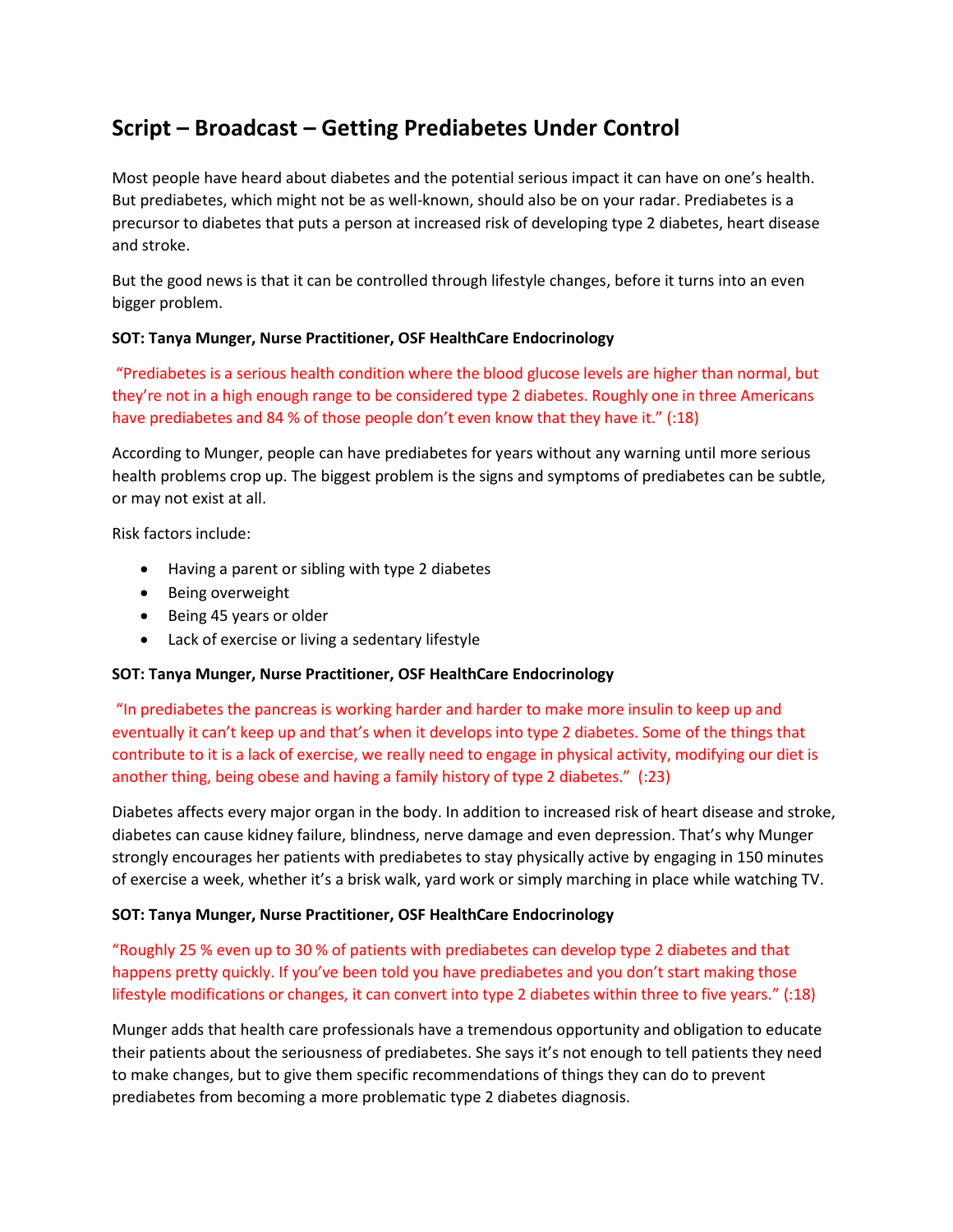# **Script – Broadcast – Getting Prediabetes Under Control**

Most people have heard about diabetes and the potential serious impact it can have on one's health. But prediabetes, which might not be as well-known, should also be on your radar. Prediabetes is a precursor to diabetes that puts a person at increased risk of developing type 2 diabetes, heart disease and stroke.

But the good news is that it can be controlled through lifestyle changes, before it turns into an even bigger problem.

## **SOT: Tanya Munger, Nurse Practitioner, OSF HealthCare Endocrinology**

"Prediabetes is a serious health condition where the blood glucose levels are higher than normal, but they're not in a high enough range to be considered type 2 diabetes. Roughly one in three Americans have prediabetes and 84 % of those people don't even know that they have it." (:18)

According to Munger, people can have prediabetes for years without any warning until more serious health problems crop up. The biggest problem is the signs and symptoms of prediabetes can be subtle, or may not exist at all.

Risk factors include:

- Having a parent or sibling with type 2 diabetes
- Being overweight
- Being 45 years or older
- Lack of exercise or living a sedentary lifestyle

### **SOT: Tanya Munger, Nurse Practitioner, OSF HealthCare Endocrinology**

"In prediabetes the pancreas is working harder and harder to make more insulin to keep up and eventually it can't keep up and that's when it develops into type 2 diabetes. Some of the things that contribute to it is a lack of exercise, we really need to engage in physical activity, modifying our diet is another thing, being obese and having a family history of type 2 diabetes." (:23)

Diabetes affects every major organ in the body. In addition to increased risk of heart disease and stroke, diabetes can cause kidney failure, blindness, nerve damage and even depression. That's why Munger strongly encourages her patients with prediabetes to stay physically active by engaging in 150 minutes of exercise a week, whether it's a brisk walk, yard work or simply marching in place while watching TV.

### **SOT: Tanya Munger, Nurse Practitioner, OSF HealthCare Endocrinology**

"Roughly 25 % even up to 30 % of patients with prediabetes can develop type 2 diabetes and that happens pretty quickly. If you've been told you have prediabetes and you don't start making those lifestyle modifications or changes, it can convert into type 2 diabetes within three to five years." (:18)

Munger adds that health care professionals have a tremendous opportunity and obligation to educate their patients about the seriousness of prediabetes. She says it's not enough to tell patients they need to make changes, but to give them specific recommendations of things they can do to prevent prediabetes from becoming a more problematic type 2 diabetes diagnosis.